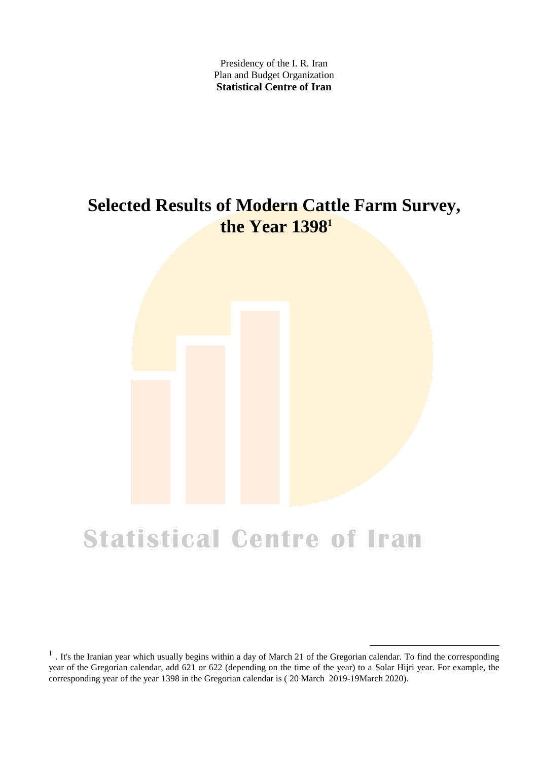Presidency of the I. R. Iran Plan and Budget Organization **Statistical Centre of Iran**

### **Selected Results of Modern Cattle Farm Survey, the Year 1398 1**

 1 . It's the Iranian year which usually begins within a day of March 21 of the Gregorian calendar. To find the corresponding year of the Gregorian calendar, add 621 or 622 (depending on the time of the year) to a Solar Hijri year. For example, the corresponding year of the year 1398 in the Gregorian calendar is ( 20 March 2019-19March 2020).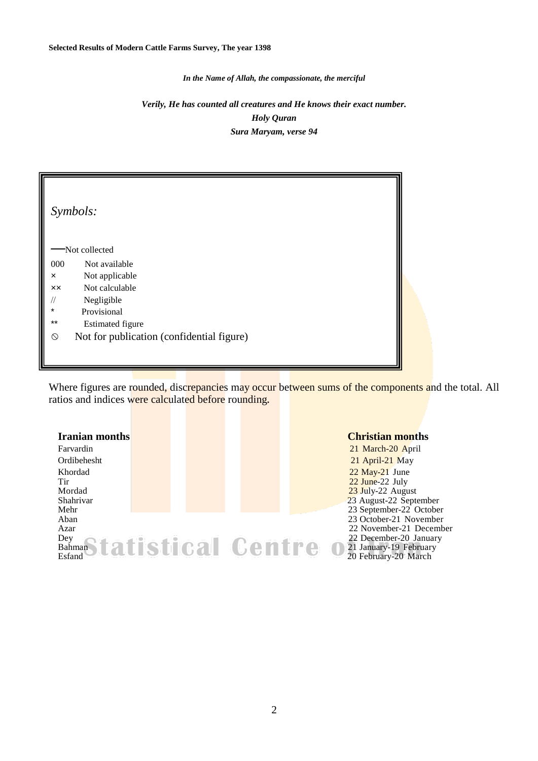*In the Name of Allah, the compassionate, the merciful*

*Verily, He has counted all creatures and He knows their exact number. Holy Quran Sura Maryam, verse 94*

|                           | Symbols:                                  |
|---------------------------|-------------------------------------------|
|                           | -Not collected                            |
| 000                       | Not available                             |
| $\boldsymbol{\mathsf{x}}$ | Not applicable                            |
| <b>XX</b>                 | Not calculable                            |
| $^{\prime\prime}$         | Negligible                                |
| $\star$                   | Provisional                               |
| $***$                     | <b>Estimated figure</b>                   |
| $\circ$                   | Not for publication (confidential figure) |
|                           |                                           |

Where figures are rounded, discrepancies may occur between sums of the components and the total. All ratios and indices were calculated before rounding**.**

| <b>Iranian months</b>              |  |  |  |                        | <b>Christian months</b> |
|------------------------------------|--|--|--|------------------------|-------------------------|
| Farvardin                          |  |  |  |                        | 21 March-20 April       |
| Ordibehesht                        |  |  |  |                        | 21 April-21 May         |
| Khordad                            |  |  |  |                        | 22 May-21 June          |
| Tir                                |  |  |  |                        | $22$ June-22 July       |
| Mordad                             |  |  |  |                        | 23 July-22 August       |
| Shahrivar                          |  |  |  |                        | 23 August-22 September  |
| Mehr                               |  |  |  |                        | 23 September-22 October |
| Aban                               |  |  |  |                        | 23 October-21 November  |
| Azar                               |  |  |  |                        | 22 November-21 December |
| Dey                                |  |  |  |                        | 22 December-20 January  |
| <b>Bahman</b> Statistical Centre o |  |  |  | 21 January-19 February |                         |
| Esfand                             |  |  |  |                        | 20 February-20 March    |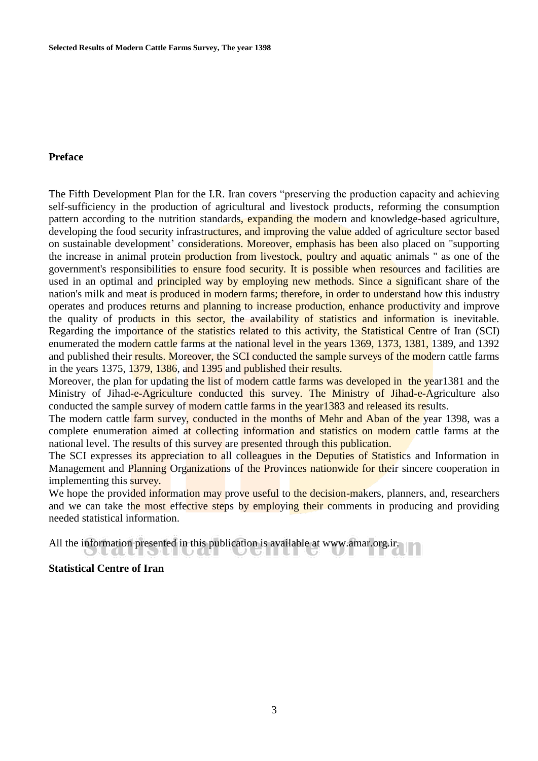#### **Preface**

The Fifth Development Plan for the I.R. Iran covers "preserving the production capacity and achieving self-sufficiency in the production of agricultural and livestock products, reforming the consumption pattern according to the nutrition standards, expanding the modern and knowledge-based agriculture, developing the food security infrastructures, and improving the value added of agriculture sector based on sustainable development' considerations. Moreover, emphasis has been also placed on "supporting the increase in animal protein production from livestock, poultry and aquatic animals " as one of the government's responsibilities to ensure food security. It is possible when resources and facilities are used in an optimal and principled way by employing new methods. Since a significant share of the nation's milk and meat is produced in modern farms; therefore, in order to understand how this industry operates and produces returns and planning to increase production, enhance productivity and improve the quality of products in this sector, the availability of statistics and information is inevitable. Regarding the importance of the statistics related to this activity, the Statistical Centre of Iran (SCI) enumerated the modern cattle farms at the national level in the years 1369, 1373, 1381, 1389, and 1392 and published their results. Moreover, the SCI conducted the sample surveys of the modern cattle farms in the years 1375, 1379, 1386, and 1395 and published their results.

Moreover, the plan for updating the list of modern cattle farms was developed in the year1381 and the Ministry of Jihad-e-Agriculture conducted this survey. The Ministry of Jihad-e-Agriculture also conducted the sample survey of modern cattle farms in the year1383 and released its results.

The modern cattle farm survey, conducted in the months of Mehr and Aban of the year 1398, was a complete enumeration aimed at collecting information and statistics on modern cattle farms at the national level. The results of this survey are presented through this publication.

The SCI expresses its appreciation to all colleagues in the Deputies of Statistics and Information in Management and Planning Organizations of the Provinces nationwide for their sincere cooperation in implementing this survey.

We hope the provided information may prove useful to the decision-makers, planners, and, researchers and we can take the most effective steps by employing their comments in producing and providing needed statistical information.

All the information presented in this publication is available at www.amar.org.ir.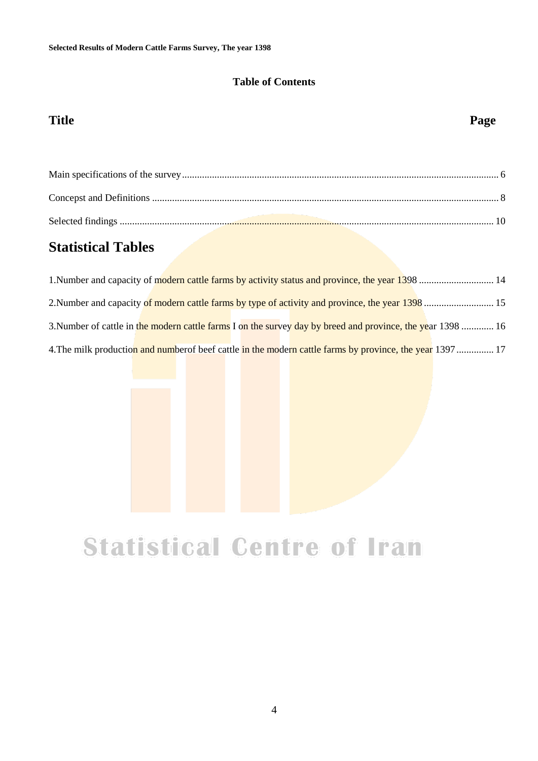#### **Table of Contents**

#### **Title Page**

#### **[Statistical Tables](#page-12-0)**

|  |  | 3. Number of cattle in the modern cattle farms I on the survey day by breed and province, the year 1398  16 |
|--|--|-------------------------------------------------------------------------------------------------------------|
|  |  | 4. The milk production and number of beef cattle in the modern cattle farms by province, the year 1397 17   |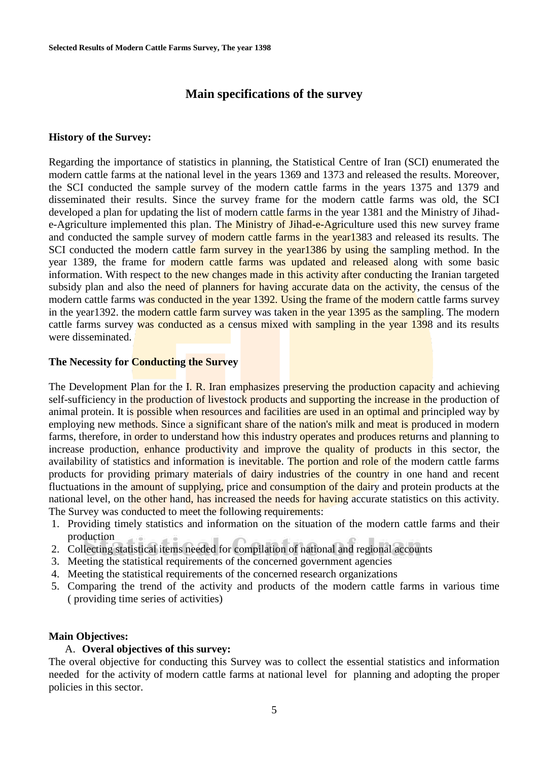#### **Main specifications of the survey**

#### <span id="page-4-0"></span>**History of the Survey:**

Regarding the importance of statistics in planning, the Statistical Centre of Iran (SCI) enumerated the modern cattle farms at the national level in the years 1369 and 1373 and released the results. Moreover, the SCI conducted the sample survey of the modern cattle farms in the years 1375 and 1379 and disseminated their results. Since the survey frame for the modern cattle farms was old, the SCI developed a plan for updating the list of modern cattle farms in the year 1381 and the Ministry of Jihade-Agriculture implemented this plan. The Ministry of Jihad-e-Agriculture used this new survey frame and conducted the sample survey of modern cattle farms in the year1383 and released its results. The SCI conducted the modern cattle farm survey in the year1386 by using the sampling method. In the year 1389, the frame for modern cattle farms was updated and released along with some basic information. With respect to the new changes made in this activity after conducting the Iranian targeted subsidy plan and also the need of planners for having accurate data on the activity, the census of the modern cattle farms was conducted in the year 1392. Using the frame of the modern cattle farms survey in the year1392, the modern cattle farm survey was taken in the year 1395 as the sampling. The modern cattle farms survey was conducted as a census mixed with sampling in the year 1398 and its results were disseminated.

#### **The Necessity for Conducting the Survey**

The Development Plan for the I. R. Iran emphasizes preserving the production capacity and achieving self-sufficiency in the production of livestock products and supporting the increase in the production of animal protein. It is possible when resources and facilities are used in an optimal and principled way by employing new methods. Since a significant share of the nation's milk and meat is produced in modern farms, therefore, in order to understand how this industry operates and produces returns and planning to increase production, enhance productivity and improve the quality of products in this sector, the availability of statistics and information is inevitable. The portion and role of the modern cattle farms products for providing primary materials of dairy industries of the country in one hand and recent fluctuations in the amount of supplying, price and consumption of the dairy and protein products at the national level, on the other hand, has increased the needs for having accurate statistics on this activity. The Survey was conducted to meet the following requirements:

- 1. Providing timely statistics and information on the situation of the modern cattle farms and their production
- 2. Collecting statistical items needed for compilation of national and regional accounts
- 3. Meeting the statistical requirements of the concerned government agencies
- 4. Meeting the statistical requirements of the concerned research organizations
- 5. Comparing the trend of the activity and products of the modern cattle farms in various time ( providing time series of activities)

#### **Main Objectives:**

#### A. **Overal objectives of this survey:**

The overal objective for conducting this Survey was to collect the essential statistics and information needed for the activity of modern cattle farms at national level for planning and adopting the proper policies in this sector.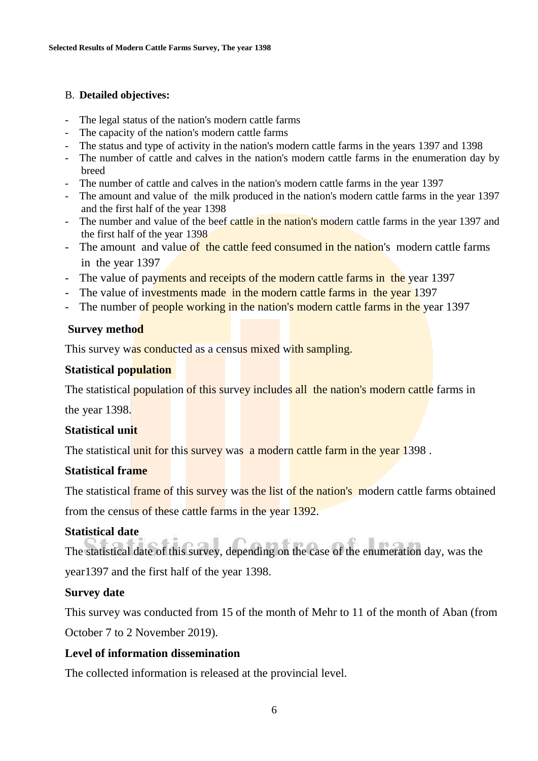#### B. **Detailed objectives:**

- The legal status of the nation's modern cattle farms
- The capacity of the nation's modern cattle farms
- The status and type of activity in the nation's modern cattle farms in the years 1397 and 1398
- The number of cattle and calves in the nation's modern cattle farms in the enumeration day by breed
- The number of cattle and calves in the nation's modern cattle farms in the year 1397
- The amount and value of the milk produced in the nation's modern cattle farms in the year 1397 and the first half of the year 1398
- The number and value of the beef cattle in the nation's modern cattle farms in the year 1397 and the first half of the year 1398
- The amount and value of the cattle feed consumed in the nation's modern cattle farms in the year 1397
- The value of payments and receipts of the modern cattle farms in the year 1397
- The value of investments made in the modern cattle farms in the year 1397
- The number of people working in the nation's modern cattle farms in the year 1397

#### **Survey method**

This survey was conducted as a census mixed with sampling.

#### **Statistical population**

The statistical population of this survey includes all the nation's modern cattle farms in

the year 1398.

#### **Statistical unit**

The statistical unit for this survey was a modern cattle farm in the year 1398.

#### **Statistical frame**

The statistical frame of this survey was the list of the nation's modern cattle farms obtained

from the census of these cattle farms in the year 1392.

#### **Statistical date**

The statistical date of this survey, depending on the case of the enumeration day, was the year1397 and the first half of the year 1398.

#### **Survey date**

This survey was conducted from 15 of the month of Mehr to 11 of the month of Aban (from October 7 to 2 November 2019).

#### **Level of information dissemination**

The collected information is released at the provincial level.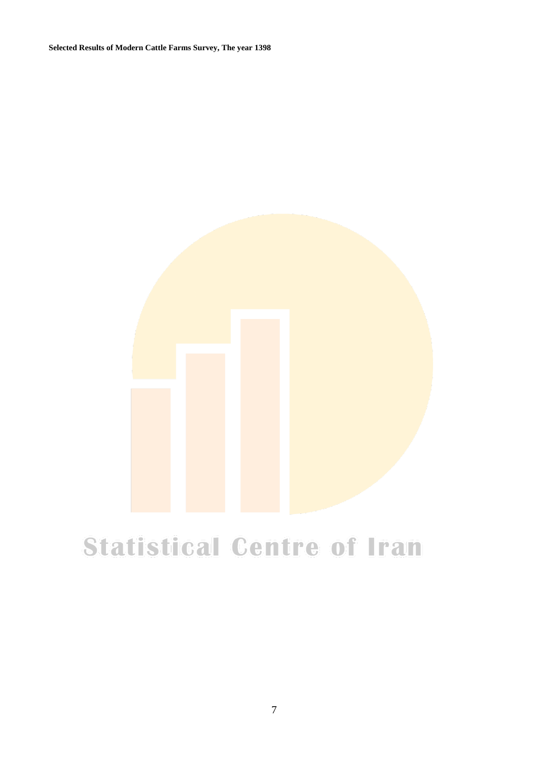**Selected Results of Modern Cattle Farms Survey, The year 1398**

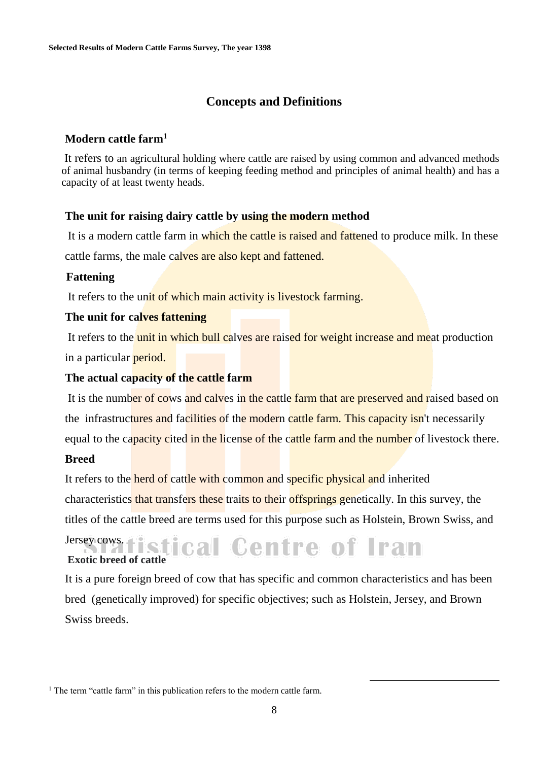#### **Concepts and Definitions**

#### <span id="page-7-0"></span>**Modern cattle farm<sup>1</sup>**

It refers to an agricultural holding where cattle are raised by using common and advanced methods of animal husbandry (in terms of keeping feeding method and principles of animal health) and has a capacity of at least twenty heads.

#### **The unit for raising dairy cattle by using the modern method**

It is a modern cattle farm in which the cattle is raised and fattened to produce milk. In these cattle farms, the male calves are also kept and fattened.

#### **Fattening**

It refers to the unit of which main activity is livestock farming.

#### **The unit for calves fattening**

It refers to the unit in which bull calves are raised for weight increase and meat production in a particular period.

#### **The actual capacity of the cattle farm**

It is the number of cows and calves in the cattle farm that are preserved and raised based on the infrastructures and facilities of the modern cattle farm. This capacity isn't necessarily equal to the capacity cited in the license of the cattle farm and the number of livestock there.

#### **Breed**

It refers to the herd of cattle with common and specific physical and inherited characteristics that transfers these traits to their offsprings genetically. In this survey, the titles of the cattle breed are terms used for this purpose such as Holstein, Brown Swiss, and

#### Jersey cows. **Exotic breed of cattle** Cal Centre of Iran

It is a pure foreign breed of cow that has specific and common characteristics and has been bred (genetically improved) for specific objectives; such as Holstein, Jersey, and Brown Swiss breeds.

1

 $1$  The term "cattle farm" in this publication refers to the modern cattle farm.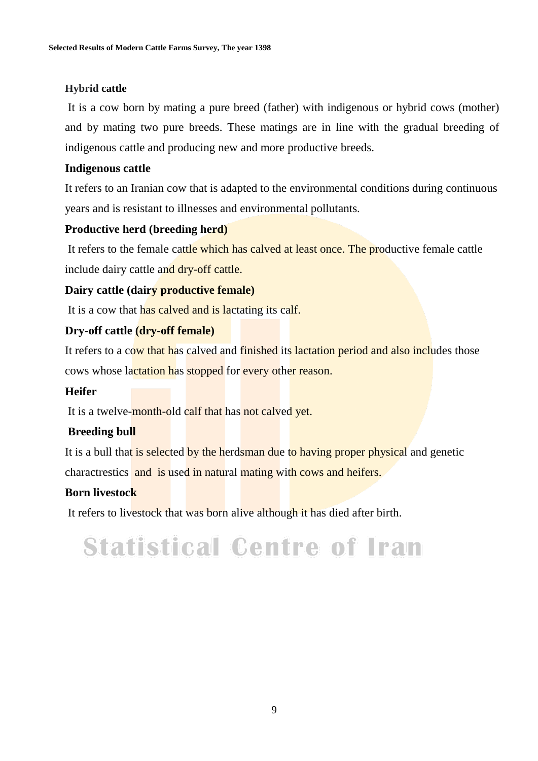#### **Hybrid cattle**

It is a cow born by mating a pure breed (father) with indigenous or hybrid cows (mother) and by mating two pure breeds. These matings are in line with the gradual breeding of indigenous cattle and producing new and more productive breeds.

#### **Indigenous cattle**

It refers to an Iranian cow that is adapted to the environmental conditions during continuous years and is resistant to illnesses and environmental pollutants.

#### **Productive herd (breeding herd)**

It refers to the female cattle which has calved at least once. The productive female cattle include dairy cattle and dry-off cattle.

#### **Dairy cattle (dairy productive female)**

It is a cow that has calved and is lactating its calf.

#### **Dry-off cattle (dry-off female)**

It refers to a cow that has calved and finished its lactation period and also includes those cows whose lactation has stopped for every other reason.

#### **Heifer**

It is a twelve-month-old calf that has not calved yet.

#### **Breeding bull**

It is a bull that is selected by the herdsman due to having proper physical and genetic charactrestics and is used in natural mating with cows and heifers.

#### **Born livestock**

It refers to livestock that was born alive although it has died after birth.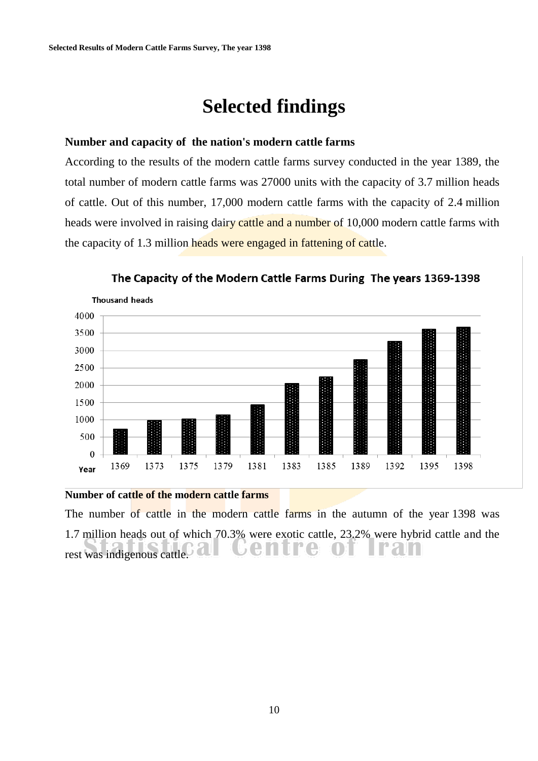### **Selected findings**

#### <span id="page-9-0"></span>**Number and capacity of the nation's modern cattle farms**

According to the results of the modern cattle farms survey conducted in the year 1389, the total number of modern cattle farms was 27000 units with the capacity of 3.7 million heads of cattle. Out of this number, 17,000 modern cattle farms with the capacity of 2.4 million heads were involved in raising dairy cattle and a number of 10,000 modern cattle farms with the capacity of 1.3 million heads were engaged in fattening of cattle.



The Capacity of the Modern Cattle Farms During The years 1369-1398

#### **Number of cattle of the modern cattle farms**

The number of cattle in the modern cattle farms in the autumn of the year 1398 was 1.7 million heads out of which 70.3% were exotic cattle, 23.2% were hybrid cattle and the rest was indigenous cattle.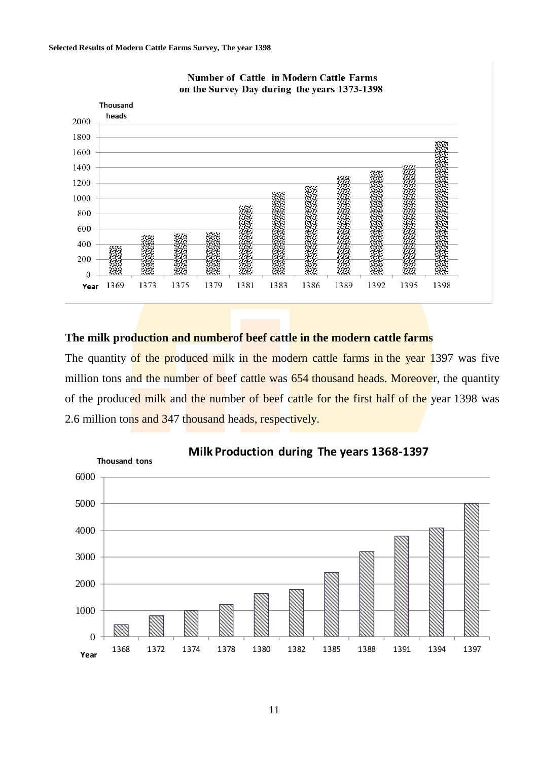

Number of Cattle in Modern Cattle Farms on the Survey Day during the years 1373-1398

#### **The milk production and numberof beef cattle in the modern cattle farms**

The quantity of the produced milk in the modern cattle farms in the year 1397 was five million tons and the number of beef cattle was 654 thousand heads. Moreover, the quantity of the produced milk and the number of beef cattle for the first half of the year 1398 was 2.6 million tons and 347 thousand heads, respectively.



#### 11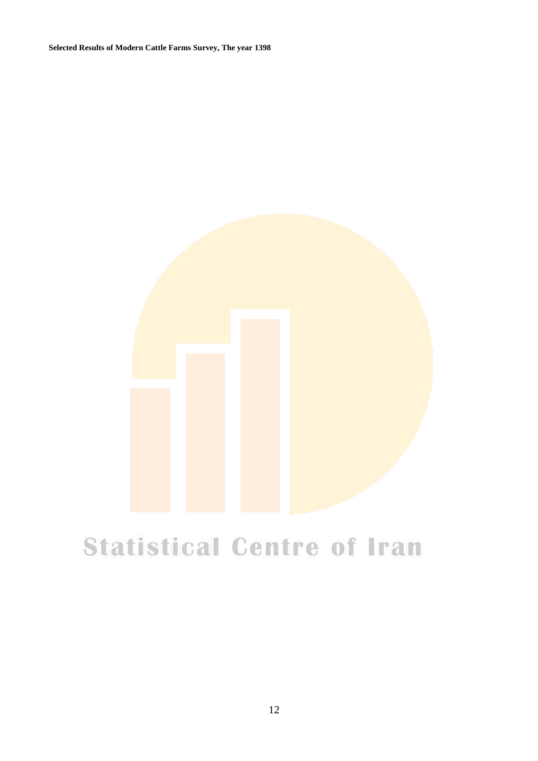**Selected Results of Modern Cattle Farms Survey, The year 1398**

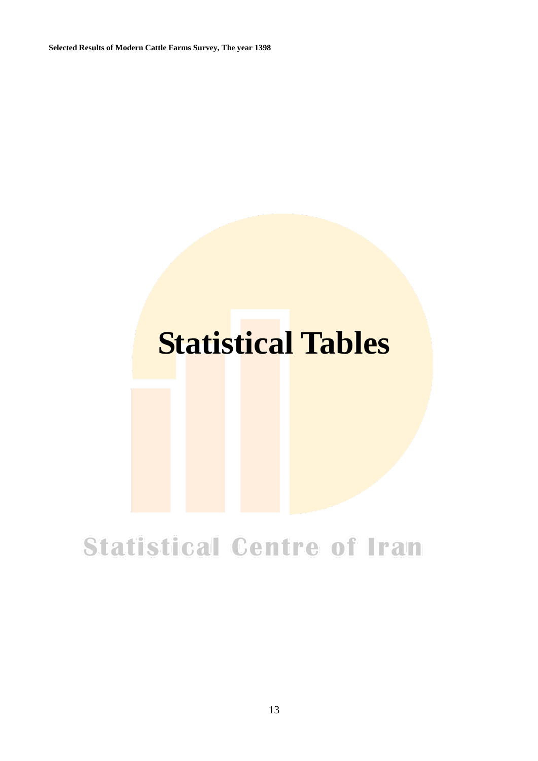**Selected Results of Modern Cattle Farms Survey, The year 1398**

# <span id="page-12-0"></span>**Statistical Tables**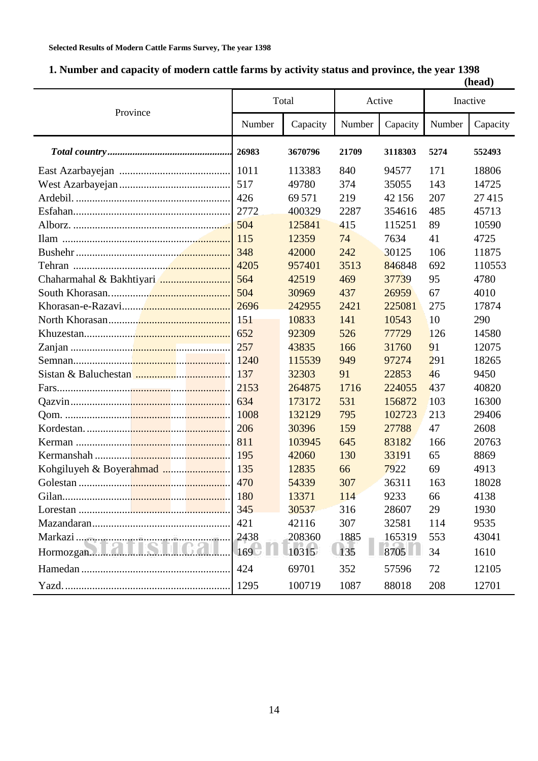### <span id="page-13-0"></span>**1. Number and capacity of modern cattle farms by activity status and province, the year 1398**

| (head)               |        |          |               |          |        |          |
|----------------------|--------|----------|---------------|----------|--------|----------|
| Province             |        | Total    |               | Active   |        | Inactive |
|                      | Number | Capacity | Number        | Capacity | Number | Capacity |
|                      | 26983  | 3670796  | 21709         | 3118303  | 5274   | 552493   |
|                      | 1011   | 113383   | 840           | 94577    | 171    | 18806    |
|                      | 517    | 49780    | 374           | 35055    | 143    | 14725    |
|                      | 426    | 69571    | 219           | 42 156   | 207    | 27415    |
|                      | 2772   | 400329   | 2287          | 354616   | 485    | 45713    |
|                      | 504    | 125841   | 415           | 115251   | 89     | 10590    |
|                      | 115    | 12359    | 74            | 7634     | 41     | 4725     |
|                      | 348    | 42000    | 242           | 30125    | 106    | 11875    |
|                      | 4205   | 957401   | 3513          | 846848   | 692    | 110553   |
|                      | 564    | 42519    | 469           | 37739    | 95     | 4780     |
|                      | 504    | 30969    | 437           | 26959    | 67     | 4010     |
|                      | 2696   | 242955   | 2421          | 225081   | 275    | 17874    |
|                      | 151    | 10833    | 141           | 10543    | 10     | 290      |
|                      | 652    | 92309    | 526           | 77729    | 126    | 14580    |
|                      | 257    | 43835    | 166           | 31760    | 91     | 12075    |
|                      | 1240   | 115539   | 949           | 97274    | 291    | 18265    |
|                      | 137    | 32303    | 91            | 22853    | 46     | 9450     |
|                      | 2153   | 264875   | 1716          | 224055   | 437    | 40820    |
|                      | 634    | 173172   | 531           | 156872   | 103    | 16300    |
|                      | 1008   | 132129   | 795           | 102723   | 213    | 29406    |
|                      | 206    | 30396    | 159           | 27788    | 47     | 2608     |
|                      | 811    | 103945   | 645           | 83182    | 166    | 20763    |
|                      | 195    | 42060    | 130           | 33191    | 65     | 8869     |
|                      | 135    | 12835    | 66            | 7922     | 69     | 4913     |
|                      | 470    | 54339    | 307           | 36311    | 163    | 18028    |
|                      | 180    | 13371    | 114           | 9233     | 66     | 4138     |
|                      | 345    | 30537    | 316           | 28607    | 29     | 1930     |
|                      | 421    | 42116    | 307           | 32581    | 114    | 9535     |
|                      | 2438   | 208360   | 1885          | 165319   | 553    | 43041    |
| Hormozgan R.I.S.I.C. | 169    | 10315    | $\bigcup$ 135 | 8705     | 34     | 1610     |
|                      | 424    | 69701    | 352           | 57596    | 72     | 12105    |
|                      | 1295   | 100719   | 1087          | 88018    | 208    | 12701    |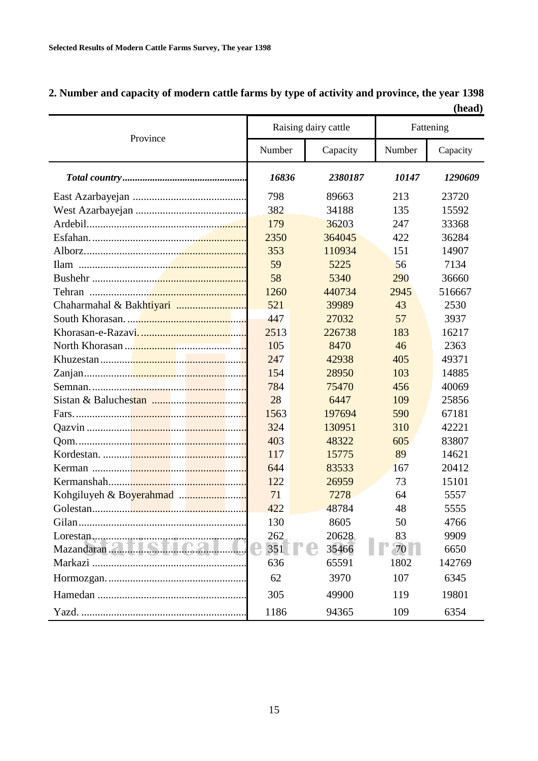|                              |          | Raising dairy cattle | Fattening |          |
|------------------------------|----------|----------------------|-----------|----------|
| Province                     | Number   | Capacity             | Number    | Capacity |
|                              | 16836    | 2380187              | 10147     | 1290609  |
|                              | 798      | 89663                | 213       | 23720    |
|                              | 382      | 34188                | 135       | 15592    |
|                              | 179      | 36203                | 247       | 33368    |
|                              | 2350     | 364045               | 422       | 36284    |
|                              | 353      | 110934               | 151       | 14907    |
|                              | 59       | 5225                 | 56        | 7134     |
|                              | 58       | 5340                 | 290       | 36660    |
|                              | 1260     | 440734               | 2945      | 516667   |
|                              | 521      | 39989                | 43        | 2530     |
|                              | 447      | 27032                | 57        | 3937     |
|                              | 2513     | 226738               | 183       | 16217    |
|                              | 105      | 8470                 | 46        | 2363     |
|                              | 247      | 42938                | 405       | 49371    |
|                              | 154      | 28950                | 103       | 14885    |
|                              | 784      | 75470                | 456       | 40069    |
|                              | 28       | 6447                 | 109       | 25856    |
|                              | 1563     | 197694               | 590       | 67181    |
|                              | 324      | 130951               | 310       | 42221    |
|                              | 403      | 48322                | 605       | 83807    |
|                              | 117      | 15775                | 89        | 14621    |
|                              | 644      | 83533                | 167       | 20412    |
|                              | 122      | 26959                | 73        | 15101    |
|                              | 71       | 7278                 | 64        | 5557     |
|                              | 422      | 48784                | 48        | 5555     |
|                              | 130      | 8605                 | 50        | 4766     |
|                              | 262      | 20628                | 83        | 9909     |
| Mazandaran <b>Music Adam</b> | e<br>351 | e<br>35466           | 70        | 6650     |
|                              | 636      | 65591                | 1802      | 142769   |
|                              | 62       | 3970                 | 107       | 6345     |
|                              | 305      | 49900                | 119       | 19801    |
|                              | 1186     | 94365                | 109       | 6354     |

#### <span id="page-14-0"></span>**2. Number and capacity of modern cattle farms by type of activity and province, the year 1398 (head)**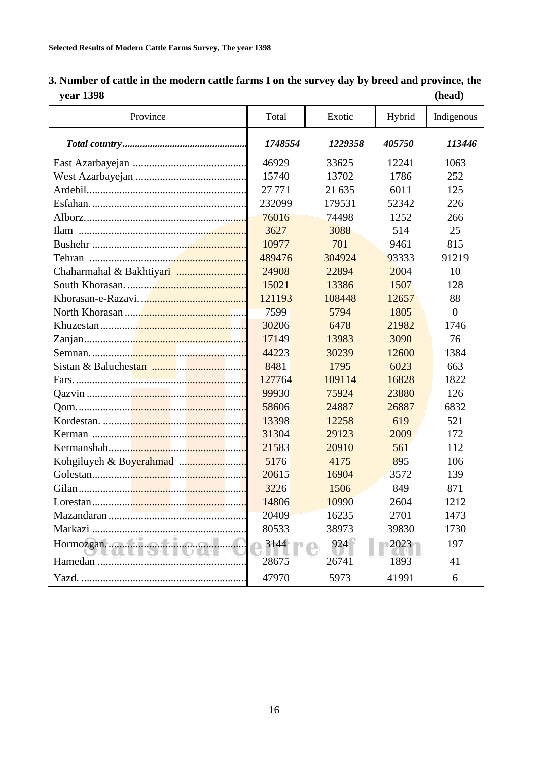<span id="page-15-1"></span>

| Province                                                              | Total   | Exotic  | Hybrid   | Indigenous |
|-----------------------------------------------------------------------|---------|---------|----------|------------|
|                                                                       | 1748554 | 1229358 | 405750   | 113446     |
|                                                                       | 46929   | 33625   | 12241    | 1063       |
|                                                                       | 15740   | 13702   | 1786     | 252        |
|                                                                       | 27771   | 21 6 35 | 6011     | 125        |
|                                                                       | 232099  | 179531  | 52342    | 226        |
|                                                                       | 76016   | 74498   | 1252     | 266        |
|                                                                       | 3627    | 3088    | 514      | 25         |
|                                                                       | 10977   | 701     | 9461     | 815        |
|                                                                       | 489476  | 304924  | 93333    | 91219      |
|                                                                       | 24908   | 22894   | 2004     | 10         |
|                                                                       | 15021   | 13386   | 1507     | 128        |
|                                                                       | 121193  | 108448  | 12657    | 88         |
|                                                                       | 7599    | 5794    | 1805     | $\theta$   |
|                                                                       | 30206   | 6478    | 21982    | 1746       |
|                                                                       | 17149   | 13983   | 3090     | 76         |
|                                                                       | 44223   | 30239   | 12600    | 1384       |
|                                                                       | 8481    | 1795    | 6023     | 663        |
|                                                                       | 127764  | 109114  | 16828    | 1822       |
|                                                                       | 99930   | 75924   | 23880    | 126        |
| Qom………………… <mark>……………</mark> …… <mark>……………</mark> …… <mark>…</mark> | 58606   | 24887   | 26887    | 6832       |
|                                                                       | 13398   | 12258   | 619      | 521        |
|                                                                       | 31304   | 29123   | 2009     | 172        |
|                                                                       | 21583   | 20910   | 561      | 112        |
|                                                                       | 5176    | 4175    | 895      | 106        |
|                                                                       | 20615   | 16904   | 3572     | 139        |
|                                                                       | 3226    | 1506    | 849      | 871        |
|                                                                       | 14806   | 10990   | 2604     | 1212       |
|                                                                       | 20409   | 16235   | 2701     | 1473       |
|                                                                       | 80533   | 38973   | 39830    | 1730       |
| Hormozgan                                                             | 3144    | 924     | $2023 -$ | 197        |
|                                                                       | 28675   | 26741   | 1893     | 41         |
|                                                                       | 47970   | 5973    | 41991    | 6          |

<span id="page-15-0"></span>**3. Number of cattle in the modern cattle farms I on the survey day by breed and province, the year 1398 (head)**